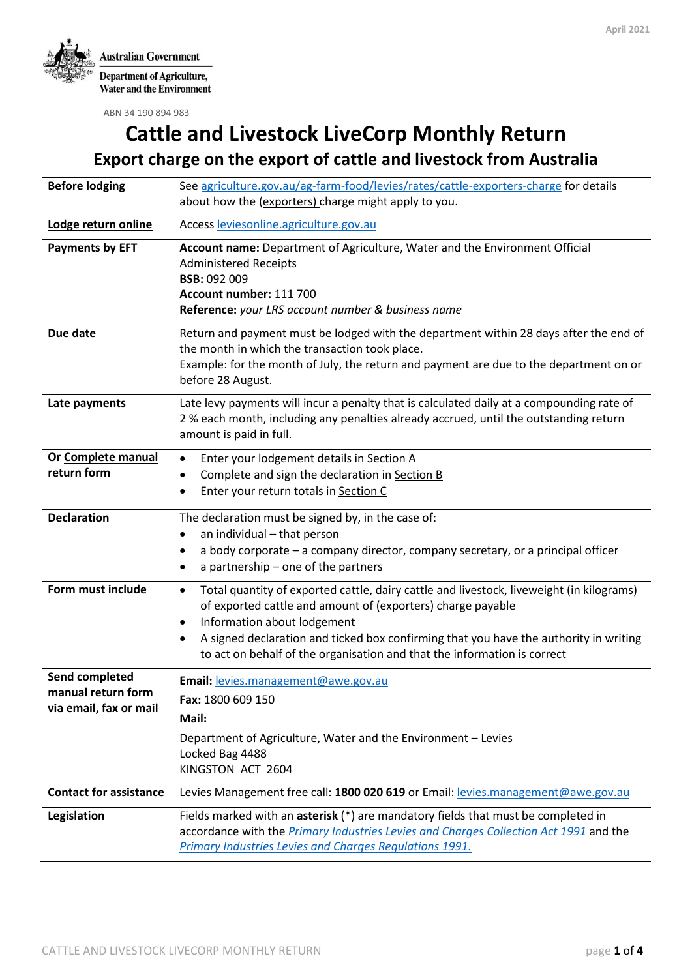

ABN 34 190 894 983

# **Cattle and Livestock LiveCorp Monthly Return**

**Export charge on the export of cattle and livestock from Australia**

| <b>Before lodging</b>                       | See agriculture.gov.au/ag-farm-food/levies/rates/cattle-exporters-charge for details                                                                                                                                                                                                                           |  |  |
|---------------------------------------------|----------------------------------------------------------------------------------------------------------------------------------------------------------------------------------------------------------------------------------------------------------------------------------------------------------------|--|--|
|                                             | about how the (exporters) charge might apply to you.                                                                                                                                                                                                                                                           |  |  |
| Lodge return online                         | Access leviesonline.agriculture.gov.au                                                                                                                                                                                                                                                                         |  |  |
| <b>Payments by EFT</b>                      | Account name: Department of Agriculture, Water and the Environment Official<br><b>Administered Receipts</b><br><b>BSB: 092 009</b><br>Account number: 111 700<br>Reference: your LRS account number & business name                                                                                            |  |  |
| Due date                                    | Return and payment must be lodged with the department within 28 days after the end of<br>the month in which the transaction took place.<br>Example: for the month of July, the return and payment are due to the department on or<br>before 28 August.                                                         |  |  |
| Late payments                               | Late levy payments will incur a penalty that is calculated daily at a compounding rate of<br>2 % each month, including any penalties already accrued, until the outstanding return<br>amount is paid in full.                                                                                                  |  |  |
| Or Complete manual                          | Enter your lodgement details in Section A<br>$\bullet$                                                                                                                                                                                                                                                         |  |  |
| return form                                 | Complete and sign the declaration in Section B<br>$\bullet$<br>Enter your return totals in Section C<br>$\bullet$                                                                                                                                                                                              |  |  |
| <b>Declaration</b>                          | The declaration must be signed by, in the case of:                                                                                                                                                                                                                                                             |  |  |
|                                             | an individual - that person<br>٠                                                                                                                                                                                                                                                                               |  |  |
|                                             | a body corporate - a company director, company secretary, or a principal officer<br>$\bullet$<br>a partnership - one of the partners<br>$\bullet$                                                                                                                                                              |  |  |
| Form must include                           | Total quantity of exported cattle, dairy cattle and livestock, liveweight (in kilograms)<br>$\bullet$<br>of exported cattle and amount of (exporters) charge payable<br>Information about lodgement<br>٠<br>A signed declaration and ticked box confirming that you have the authority in writing<br>$\bullet$ |  |  |
|                                             | to act on behalf of the organisation and that the information is correct                                                                                                                                                                                                                                       |  |  |
| Send completed<br>manual return form        | Email: levies.management@awe.gov.au                                                                                                                                                                                                                                                                            |  |  |
| Fax: 1800 609 150<br>via email, fax or mail |                                                                                                                                                                                                                                                                                                                |  |  |
|                                             | Mail:                                                                                                                                                                                                                                                                                                          |  |  |
|                                             | Department of Agriculture, Water and the Environment - Levies<br>Locked Bag 4488                                                                                                                                                                                                                               |  |  |
|                                             | KINGSTON ACT 2604                                                                                                                                                                                                                                                                                              |  |  |
| <b>Contact for assistance</b>               | Levies Management free call: 1800 020 619 or Email: levies.management@awe.gov.au                                                                                                                                                                                                                               |  |  |
| Legislation                                 | Fields marked with an asterisk (*) are mandatory fields that must be completed in<br>accordance with the <i>Primary Industries Levies and Charges Collection Act 1991</i> and the<br>Primary Industries Levies and Charges Regulations 1991.                                                                   |  |  |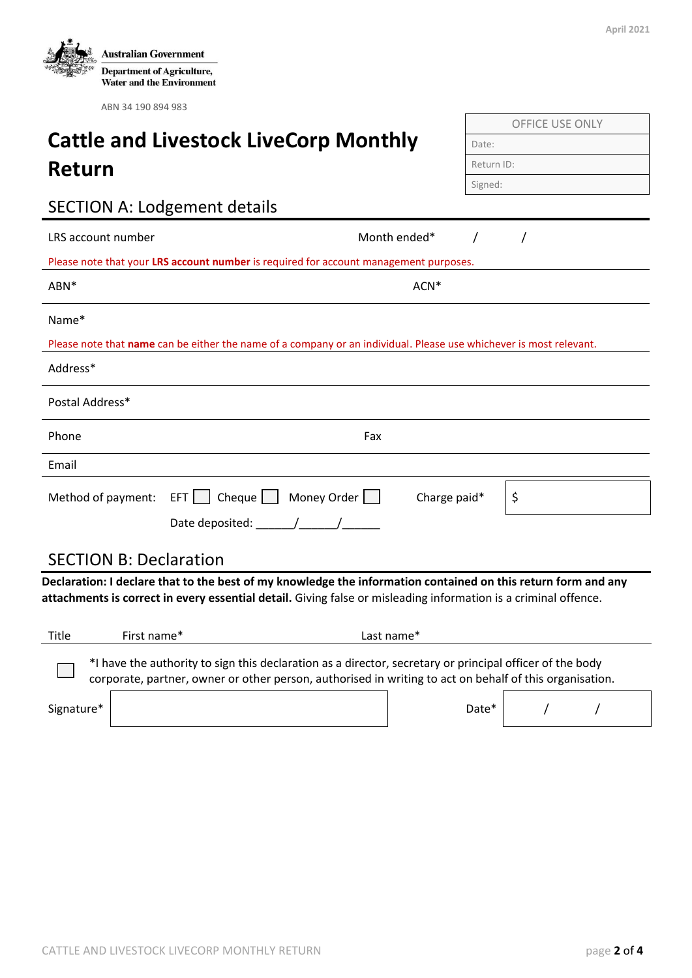|  |  | ۰.<br>$\frac{1}{2}$ |
|--|--|---------------------|
|--|--|---------------------|

OFFICE USE ONLY

| ADIY JT 170 07T 70J                          |              |            |
|----------------------------------------------|--------------|------------|
|                                              |              |            |
| <b>Cattle and Livestock LiveCorp Monthly</b> |              | Date:      |
| Return                                       |              | Return ID: |
|                                              |              | Signed:    |
| <b>SECTION A: Lodgement details</b>          |              |            |
| LRS account number                           | Month ended* |            |

 $\Delta$ S account number  $\Delta$  /  $\Delta$  /  $\Delta$  /  $\Delta$  /  $\Delta$  /  $\Delta$  /  $\Delta$  /  $\Delta$  /  $\Delta$  /  $\Delta$  /  $\Delta$  /  $\Delta$  /  $\Delta$  /  $\Delta$  /  $\Delta$  /  $\Delta$  /  $\Delta$  /  $\Delta$  /  $\Delta$  /  $\Delta$  /  $\Delta$  /  $\Delta$  /  $\Delta$  /  $\Delta$  /  $\Delta$  /  $\Delta$  /  $\Delta$  /  $\Delta$  /  $\Delta$ Please note that your **LRS account number** is required for account management purposes.

| ABN <sup>*</sup>                                                                                                   | $ACN^*$ |
|--------------------------------------------------------------------------------------------------------------------|---------|
| Name*                                                                                                              |         |
| Please note that name can be either the name of a company or an individual. Please use whichever is most relevant. |         |
| Address*                                                                                                           |         |

| Postal Address* |                                             |              |  |
|-----------------|---------------------------------------------|--------------|--|
| Phone           | Fax                                         |              |  |
| Email           |                                             |              |  |
|                 | Method of payment: $EFT$ Cheque Money Order | Charge paid* |  |
|                 | Date deposited: $\sqrt{2\pi}$               |              |  |

## SECTION B: Declaration

**Declaration: I declare that to the best of my knowledge the information contained on this return form and any attachments is correct in every essential detail.** Giving false or misleading information is a criminal offence.

| Title      | First name*                                                                                                                                                                                                         | Last name* |       |  |  |  |
|------------|---------------------------------------------------------------------------------------------------------------------------------------------------------------------------------------------------------------------|------------|-------|--|--|--|
|            | *I have the authority to sign this declaration as a director, secretary or principal officer of the body<br>corporate, partner, owner or other person, authorised in writing to act on behalf of this organisation. |            |       |  |  |  |
| Signature* |                                                                                                                                                                                                                     |            | Date* |  |  |  |

| <b>Australian Government</b>                                          |
|-----------------------------------------------------------------------|
| <b>Department of Agriculture,</b><br><b>Water and the Environment</b> |

ABN 34 190 894 983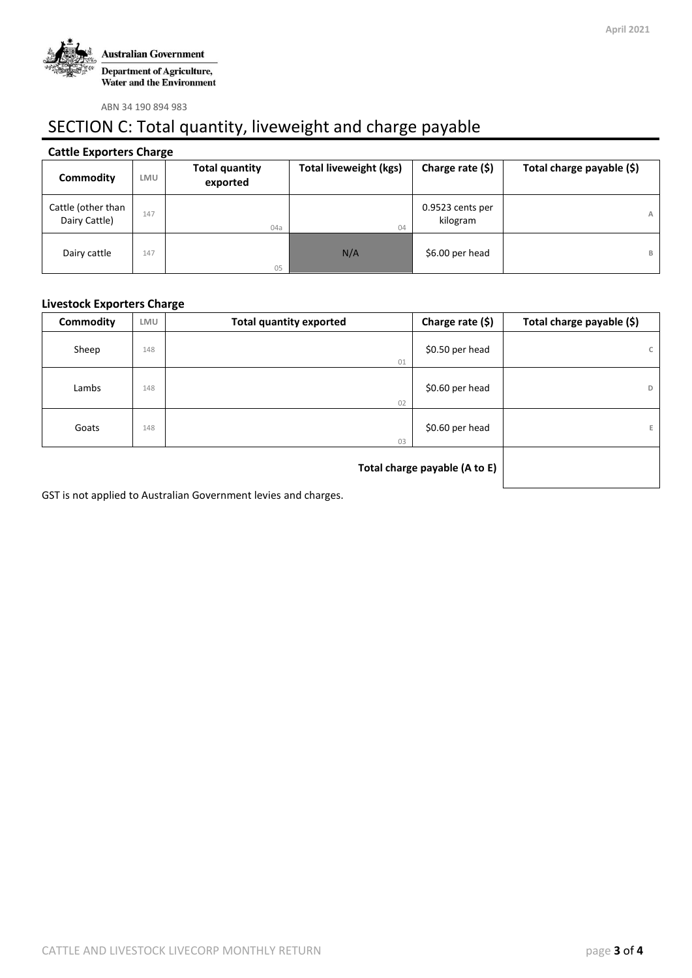

ABN 34 190 894 983

## SECTION C: Total quantity, liveweight and charge payable

#### **Cattle Exporters Charge**

| Commodity                           | LMU | <b>Total quantity</b><br>exported | Total liveweight (kgs) | Charge rate (\$)             | Total charge payable (\$) |
|-------------------------------------|-----|-----------------------------------|------------------------|------------------------------|---------------------------|
| Cattle (other than<br>Dairy Cattle) | 147 | 04a                               | 04                     | 0.9523 cents per<br>kilogram | A                         |
| Dairy cattle                        | 147 | 05                                | N/A                    | \$6.00 per head              | B                         |

#### **Livestock Exporters Charge**

| <b>Commodity</b> | LMU | <b>Total quantity exported</b> | Charge rate (\$) | Total charge payable (\$) |
|------------------|-----|--------------------------------|------------------|---------------------------|
| Sheep            | 148 | 01                             | \$0.50 per head  | C                         |
| Lambs            | 148 | 02                             | \$0.60 per head  | D                         |
| Goats            | 148 | 03                             | \$0.60 per head  | E.                        |
|                  |     |                                |                  |                           |

GST is not applied to Australian Government levies and charges.